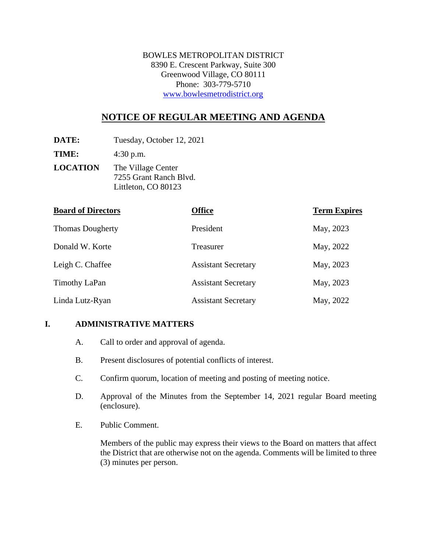BOWLES METROPOLITAN DISTRICT 8390 E. Crescent Parkway, Suite 300 Greenwood Village, CO 80111 Phone: 303-779-5710 www.bowlesmetrodistrict.org

# **NOTICE OF REGULAR MEETING AND AGENDA**

**DATE:** Tuesday, October 12, 2021

**TIME:** 4:30 p.m.

**LOCATION** The Village Center 7255 Grant Ranch Blvd. Littleton, CO 80123

| <b>Board of Directors</b> | <b>Office</b>              | <b>Term Expires</b> |
|---------------------------|----------------------------|---------------------|
| <b>Thomas Dougherty</b>   | President                  | May, 2023           |
| Donald W. Korte           | Treasurer                  | May, 2022           |
| Leigh C. Chaffee          | <b>Assistant Secretary</b> | May, 2023           |
| <b>Timothy LaPan</b>      | <b>Assistant Secretary</b> | May, 2023           |
| Linda Lutz-Ryan           | <b>Assistant Secretary</b> | May, 2022           |

#### **I. ADMINISTRATIVE MATTERS**

- A. Call to order and approval of agenda.
- B. Present disclosures of potential conflicts of interest.
- C. Confirm quorum, location of meeting and posting of meeting notice.
- D. Approval of the Minutes from the September 14, 2021 regular Board meeting (enclosure).
- E. Public Comment.

Members of the public may express their views to the Board on matters that affect the District that are otherwise not on the agenda. Comments will be limited to three (3) minutes per person.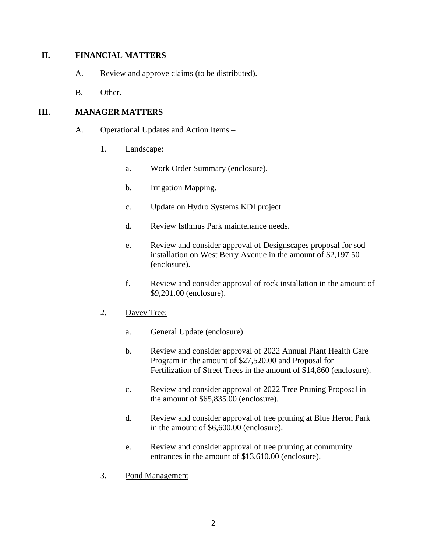#### **II. FINANCIAL MATTERS**

- A. Review and approve claims (to be distributed).
- B. Other.

#### **III. MANAGER MATTERS**

- A. Operational Updates and Action Items
	- 1. Landscape:
		- a. Work Order Summary (enclosure).
		- b. Irrigation Mapping.
		- c. Update on Hydro Systems KDI project.
		- d. Review Isthmus Park maintenance needs.
		- e. Review and consider approval of Designscapes proposal for sod installation on West Berry Avenue in the amount of \$2,197.50 (enclosure).
		- f. Review and consider approval of rock installation in the amount of \$9,201.00 (enclosure).
	- 2. Davey Tree:
		- a. General Update (enclosure).
		- b. Review and consider approval of 2022 Annual Plant Health Care Program in the amount of \$27,520.00 and Proposal for Fertilization of Street Trees in the amount of \$14,860 (enclosure).
		- c. Review and consider approval of 2022 Tree Pruning Proposal in the amount of \$65,835.00 (enclosure).
		- d. Review and consider approval of tree pruning at Blue Heron Park in the amount of \$6,600.00 (enclosure).
		- e. Review and consider approval of tree pruning at community entrances in the amount of \$13,610.00 (enclosure).
	- 3. Pond Management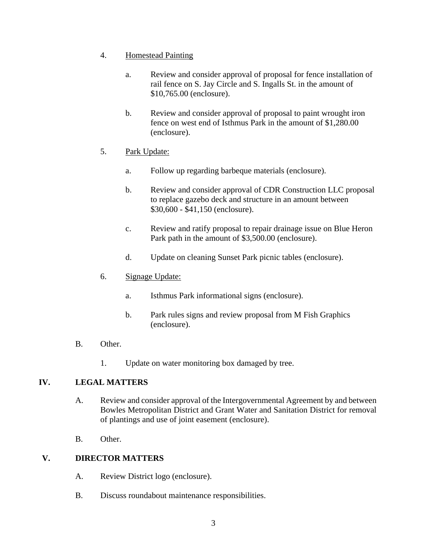- 4. Homestead Painting
	- a. Review and consider approval of proposal for fence installation of rail fence on S. Jay Circle and S. Ingalls St. in the amount of \$10,765.00 (enclosure).
	- b. Review and consider approval of proposal to paint wrought iron fence on west end of Isthmus Park in the amount of \$1,280.00 (enclosure).
- 5. Park Update:
	- a. Follow up regarding barbeque materials (enclosure).
	- b. Review and consider approval of CDR Construction LLC proposal to replace gazebo deck and structure in an amount between \$30,600 - \$41,150 (enclosure).
	- c. Review and ratify proposal to repair drainage issue on Blue Heron Park path in the amount of \$3,500.00 (enclosure).
	- d. Update on cleaning Sunset Park picnic tables (enclosure).

#### 6. Signage Update:

- a. Isthmus Park informational signs (enclosure).
- b. Park rules signs and review proposal from M Fish Graphics (enclosure).
- B. Other.
	- 1. Update on water monitoring box damaged by tree.

## **IV. LEGAL MATTERS**

- A. Review and consider approval of the Intergovernmental Agreement by and between Bowles Metropolitan District and Grant Water and Sanitation District for removal of plantings and use of joint easement (enclosure).
- B. Other.

## **V. DIRECTOR MATTERS**

- A. Review District logo (enclosure).
- B. Discuss roundabout maintenance responsibilities.